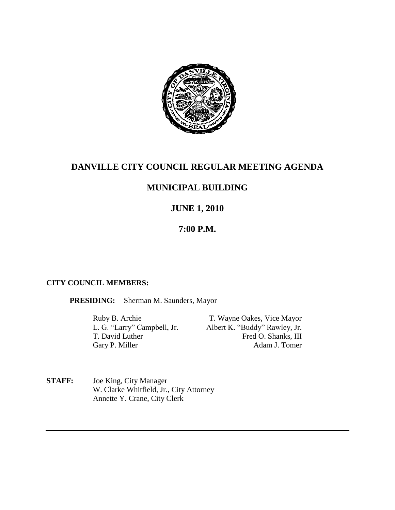

# **DANVILLE CITY COUNCIL REGULAR MEETING AGENDA**

## **MUNICIPAL BUILDING**

## **JUNE 1, 2010**

### **7:00 P.M.**

#### **CITY COUNCIL MEMBERS:**

**PRESIDING:** Sherman M. Saunders, Mayor

Ruby B. Archie T. Wayne Oakes, Vice Mayor<br>
L. G. "Larry" Campbell, Jr. Albert K. "Buddy" Rawley, Jr. Albert K. "Buddy" Rawley, Jr. T. David Luther Fred O. Shanks, III Gary P. Miller Adam J. Tomer

**STAFF:** Joe King, City Manager W. Clarke Whitfield, Jr., City Attorney Annette Y. Crane, City Clerk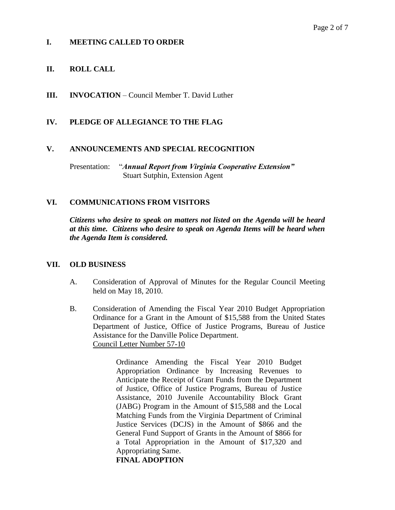#### **I. MEETING CALLED TO ORDER**

#### **II. ROLL CALL**

**III. INVOCATION** – Council Member T. David Luther

#### **IV. PLEDGE OF ALLEGIANCE TO THE FLAG**

#### **V. ANNOUNCEMENTS AND SPECIAL RECOGNITION**

Presentation: "*Annual Report from Virginia Cooperative Extension"* Stuart Sutphin, Extension Agent

#### **VI. COMMUNICATIONS FROM VISITORS**

*Citizens who desire to speak on matters not listed on the Agenda will be heard at this time. Citizens who desire to speak on Agenda Items will be heard when the Agenda Item is considered.*

#### **VII. OLD BUSINESS**

- A. Consideration of Approval of Minutes for the Regular Council Meeting held on May 18, 2010.
- B. Consideration of Amending the Fiscal Year 2010 Budget Appropriation Ordinance for a Grant in the Amount of \$15,588 from the United States Department of Justice, Office of Justice Programs, Bureau of Justice Assistance for the Danville Police Department. Council Letter Number 57-10

Ordinance Amending the Fiscal Year 2010 Budget Appropriation Ordinance by Increasing Revenues to Anticipate the Receipt of Grant Funds from the Department of Justice, Office of Justice Programs, Bureau of Justice Assistance, 2010 Juvenile Accountability Block Grant (JABG) Program in the Amount of \$15,588 and the Local Matching Funds from the Virginia Department of Criminal Justice Services (DCJS) in the Amount of \$866 and the General Fund Support of Grants in the Amount of \$866 for a Total Appropriation in the Amount of \$17,320 and Appropriating Same.

**FINAL ADOPTION**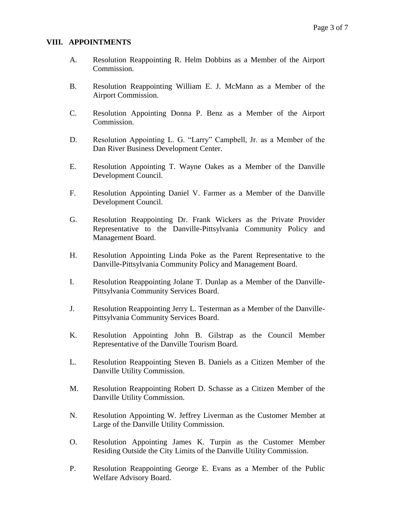#### **VIII. APPOINTMENTS**

- A. Resolution Reappointing R. Helm Dobbins as a Member of the Airport Commission.
- B. Resolution Reappointing William E. J. McMann as a Member of the Airport Commission.
- C. Resolution Appointing Donna P. Benz as a Member of the Airport Commission.
- D. Resolution Appointing L. G. "Larry" Campbell, Jr. as a Member of the Dan River Business Development Center.
- E. Resolution Appointing T. Wayne Oakes as a Member of the Danville Development Council.
- F. Resolution Appointing Daniel V. Farmer as a Member of the Danville Development Council.
- G. Resolution Reappointing Dr. Frank Wickers as the Private Provider Representative to the Danville-Pittsylvania Community Policy and Management Board.
- H. Resolution Appointing Linda Poke as the Parent Representative to the Danville-Pittsylvania Community Policy and Management Board.
- I. Resolution Reappointing Jolane T. Dunlap as a Member of the Danville-Pittsylvania Community Services Board.
- J. Resolution Reappointing Jerry L. Testerman as a Member of the Danville-Pittsylvania Community Services Board.
- K. Resolution Appointing John B. Gilstrap as the Council Member Representative of the Danville Tourism Board.
- L. Resolution Reappointing Steven B. Daniels as a Citizen Member of the Danville Utility Commission.
- M. Resolution Reappointing Robert D. Schasse as a Citizen Member of the Danville Utility Commission.
- N. Resolution Appointing W. Jeffrey Liverman as the Customer Member at Large of the Danville Utility Commission.
- O. Resolution Appointing James K. Turpin as the Customer Member Residing Outside the City Limits of the Danville Utility Commission.
- P. Resolution Reappointing George E. Evans as a Member of the Public Welfare Advisory Board.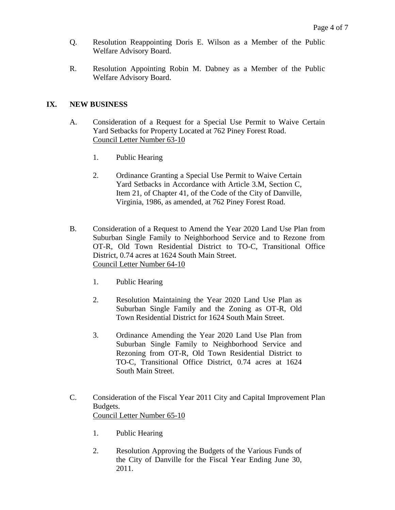- Q. Resolution Reappointing Doris E. Wilson as a Member of the Public Welfare Advisory Board.
- R. Resolution Appointing Robin M. Dabney as a Member of the Public Welfare Advisory Board.

#### **IX. NEW BUSINESS**

- A. Consideration of a Request for a Special Use Permit to Waive Certain Yard Setbacks for Property Located at 762 Piney Forest Road. Council Letter Number 63-10
	- 1. Public Hearing
	- 2. Ordinance Granting a Special Use Permit to Waive Certain Yard Setbacks in Accordance with Article 3.M, Section C, Item 21, of Chapter 41, of the Code of the City of Danville, Virginia, 1986, as amended, at 762 Piney Forest Road.
- B. Consideration of a Request to Amend the Year 2020 Land Use Plan from Suburban Single Family to Neighborhood Service and to Rezone from OT-R, Old Town Residential District to TO-C, Transitional Office District, 0.74 acres at 1624 South Main Street. Council Letter Number 64-10
	- 1. Public Hearing
	- 2. Resolution Maintaining the Year 2020 Land Use Plan as Suburban Single Family and the Zoning as OT-R, Old Town Residential District for 1624 South Main Street.
	- 3. Ordinance Amending the Year 2020 Land Use Plan from Suburban Single Family to Neighborhood Service and Rezoning from OT-R, Old Town Residential District to TO-C, Transitional Office District, 0.74 acres at 1624 South Main Street.
- C. Consideration of the Fiscal Year 2011 City and Capital Improvement Plan Budgets. Council Letter Number 65-10
	- 1. Public Hearing
	- 2. Resolution Approving the Budgets of the Various Funds of the City of Danville for the Fiscal Year Ending June 30, 2011.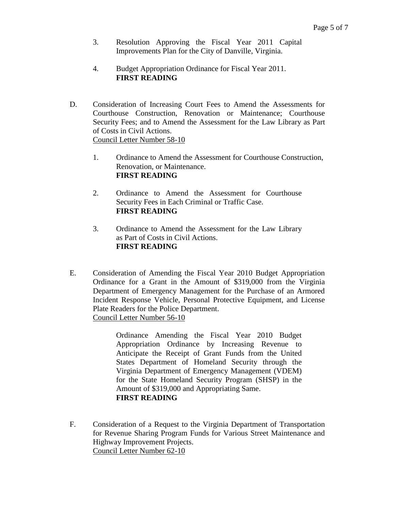- 3. Resolution Approving the Fiscal Year 2011 Capital Improvements Plan for the City of Danville, Virginia.
- 4. Budget Appropriation Ordinance for Fiscal Year 2011. **FIRST READING**
- D. Consideration of Increasing Court Fees to Amend the Assessments for Courthouse Construction, Renovation or Maintenance; Courthouse Security Fees; and to Amend the Assessment for the Law Library as Part of Costs in Civil Actions. Council Letter Number 58-10
	- 1. Ordinance to Amend the Assessment for Courthouse Construction, Renovation, or Maintenance. **FIRST READING**
	- 2. Ordinance to Amend the Assessment for Courthouse Security Fees in Each Criminal or Traffic Case. **FIRST READING**
	- 3. Ordinance to Amend the Assessment for the Law Library as Part of Costs in Civil Actions. **FIRST READING**
- E. Consideration of Amending the Fiscal Year 2010 Budget Appropriation Ordinance for a Grant in the Amount of \$319,000 from the Virginia Department of Emergency Management for the Purchase of an Armored Incident Response Vehicle, Personal Protective Equipment, and License Plate Readers for the Police Department. Council Letter Number 56-10

Ordinance Amending the Fiscal Year 2010 Budget Appropriation Ordinance by Increasing Revenue to Anticipate the Receipt of Grant Funds from the United States Department of Homeland Security through the Virginia Department of Emergency Management (VDEM) for the State Homeland Security Program (SHSP) in the Amount of \$319,000 and Appropriating Same. **FIRST READING**

F. Consideration of a Request to the Virginia Department of Transportation for Revenue Sharing Program Funds for Various Street Maintenance and Highway Improvement Projects. Council Letter Number 62-10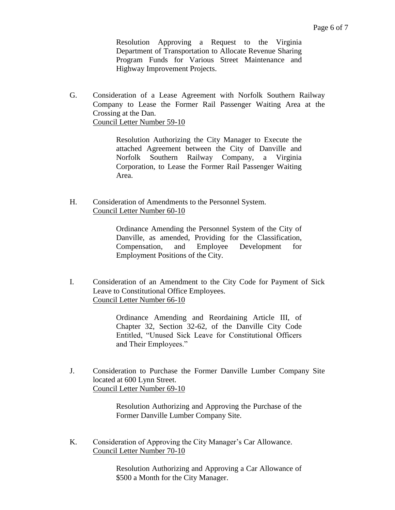Resolution Approving a Request to the Virginia Department of Transportation to Allocate Revenue Sharing Program Funds for Various Street Maintenance and Highway Improvement Projects.

G. Consideration of a Lease Agreement with Norfolk Southern Railway Company to Lease the Former Rail Passenger Waiting Area at the Crossing at the Dan. Council Letter Number 59-10

> Resolution Authorizing the City Manager to Execute the attached Agreement between the City of Danville and Norfolk Southern Railway Company, a Virginia Corporation, to Lease the Former Rail Passenger Waiting Area.

H. Consideration of Amendments to the Personnel System. Council Letter Number 60-10

> Ordinance Amending the Personnel System of the City of Danville, as amended, Providing for the Classification, Compensation, and Employee Development for Employment Positions of the City.

I. Consideration of an Amendment to the City Code for Payment of Sick Leave to Constitutional Office Employees. Council Letter Number 66-10

> Ordinance Amending and Reordaining Article III, of Chapter 32, Section 32-62, of the Danville City Code Entitled, "Unused Sick Leave for Constitutional Officers and Their Employees."

J. Consideration to Purchase the Former Danville Lumber Company Site located at 600 Lynn Street. Council Letter Number 69-10

> Resolution Authorizing and Approving the Purchase of the Former Danville Lumber Company Site.

K. Consideration of Approving the City Manager's Car Allowance. Council Letter Number 70-10

> Resolution Authorizing and Approving a Car Allowance of \$500 a Month for the City Manager.